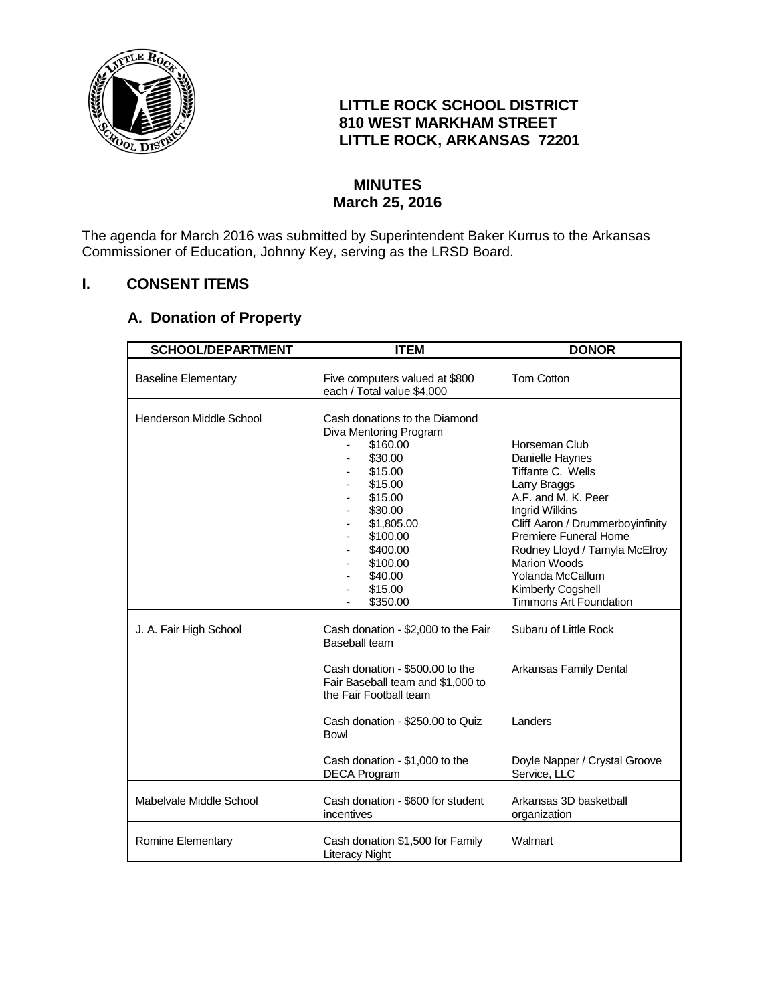

## **LITTLE ROCK SCHOOL DISTRICT 810 WEST MARKHAM STREET LITTLE ROCK, ARKANSAS 72201**

### **MINUTES March 25, 2016**

The agenda for March 2016 was submitted by Superintendent Baker Kurrus to the Arkansas Commissioner of Education, Johnny Key, serving as the LRSD Board.

## **I. CONSENT ITEMS**

# **A. Donation of Property**

| <b>SCHOOL/DEPARTMENT</b>   | <b>ITEM</b>                                                                                                                                                                                                                                          | <b>DONOR</b>                                                                                                                                                                                                                                                                                           |
|----------------------------|------------------------------------------------------------------------------------------------------------------------------------------------------------------------------------------------------------------------------------------------------|--------------------------------------------------------------------------------------------------------------------------------------------------------------------------------------------------------------------------------------------------------------------------------------------------------|
| <b>Baseline Elementary</b> | Five computers valued at \$800<br>each / Total value \$4,000                                                                                                                                                                                         | <b>Tom Cotton</b>                                                                                                                                                                                                                                                                                      |
| Henderson Middle School    | Cash donations to the Diamond<br>Diva Mentoring Program<br>\$160.00<br>\$30.00<br>\$15.00<br>\$15.00<br>\$15.00<br>\$30.00<br>\$1,805.00<br>\$100.00<br>\$400.00<br>\$100.00<br>\$40.00<br>\$15.00<br>\$350.00                                       | Horseman Club<br>Danielle Haynes<br>Tiffante C. Wells<br>Larry Braggs<br>A.F. and M. K. Peer<br>Ingrid Wilkins<br>Cliff Aaron / Drummerboyinfinity<br>Premiere Funeral Home<br>Rodney Lloyd / Tamyla McElroy<br><b>Marion Woods</b><br>Yolanda McCallum<br>Kimberly Cogshell<br>Timmons Art Foundation |
| J. A. Fair High School     | Cash donation - \$2,000 to the Fair<br>Baseball team<br>Cash donation - \$500.00 to the<br>Fair Baseball team and \$1,000 to<br>the Fair Football team<br>Cash donation - \$250.00 to Quiz<br>Bowl<br>Cash donation - \$1,000 to the<br>DECA Program | Subaru of Little Rock<br>Arkansas Family Dental<br>Landers<br>Doyle Napper / Crystal Groove<br>Service, LLC                                                                                                                                                                                            |
| Mabelvale Middle School    | Cash donation - \$600 for student<br>incentives                                                                                                                                                                                                      | Arkansas 3D basketball<br>organization                                                                                                                                                                                                                                                                 |
| Romine Elementary          | Cash donation \$1,500 for Family<br>Literacy Night                                                                                                                                                                                                   | Walmart                                                                                                                                                                                                                                                                                                |